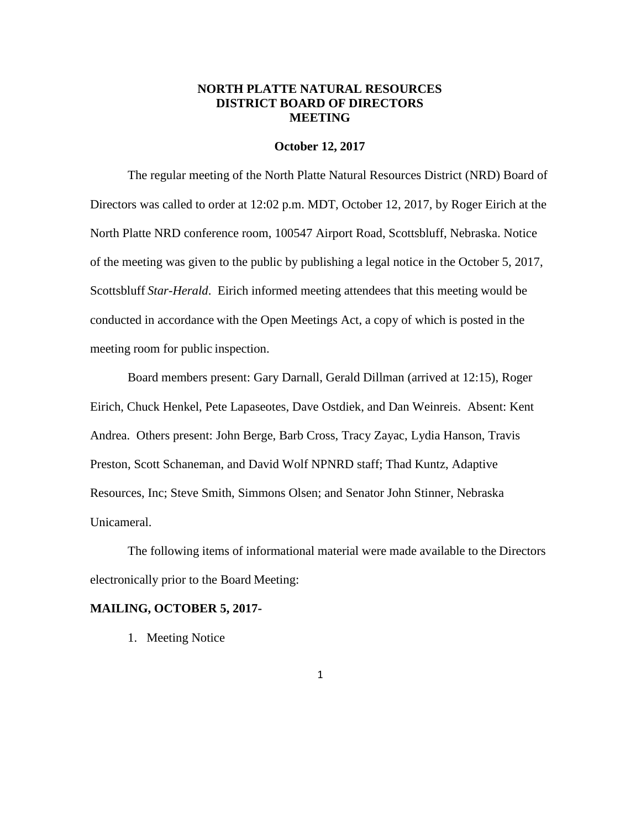## **NORTH PLATTE NATURAL RESOURCES DISTRICT BOARD OF DIRECTORS MEETING**

#### **October 12, 2017**

The regular meeting of the North Platte Natural Resources District (NRD) Board of Directors was called to order at 12:02 p.m. MDT, October 12, 2017, by Roger Eirich at the North Platte NRD conference room, 100547 Airport Road, Scottsbluff, Nebraska. Notice of the meeting was given to the public by publishing a legal notice in the October 5, 2017, Scottsbluff *Star-Herald*. Eirich informed meeting attendees that this meeting would be conducted in accordance with the Open Meetings Act, a copy of which is posted in the meeting room for public inspection.

Board members present: Gary Darnall, Gerald Dillman (arrived at 12:15), Roger Eirich, Chuck Henkel, Pete Lapaseotes, Dave Ostdiek, and Dan Weinreis. Absent: Kent Andrea. Others present: John Berge, Barb Cross, Tracy Zayac, Lydia Hanson, Travis Preston, Scott Schaneman, and David Wolf NPNRD staff; Thad Kuntz, Adaptive Resources, Inc; Steve Smith, Simmons Olsen; and Senator John Stinner, Nebraska Unicameral.

The following items of informational material were made available to the Directors electronically prior to the Board Meeting:

#### **MAILING, OCTOBER 5, 2017-**

1. Meeting Notice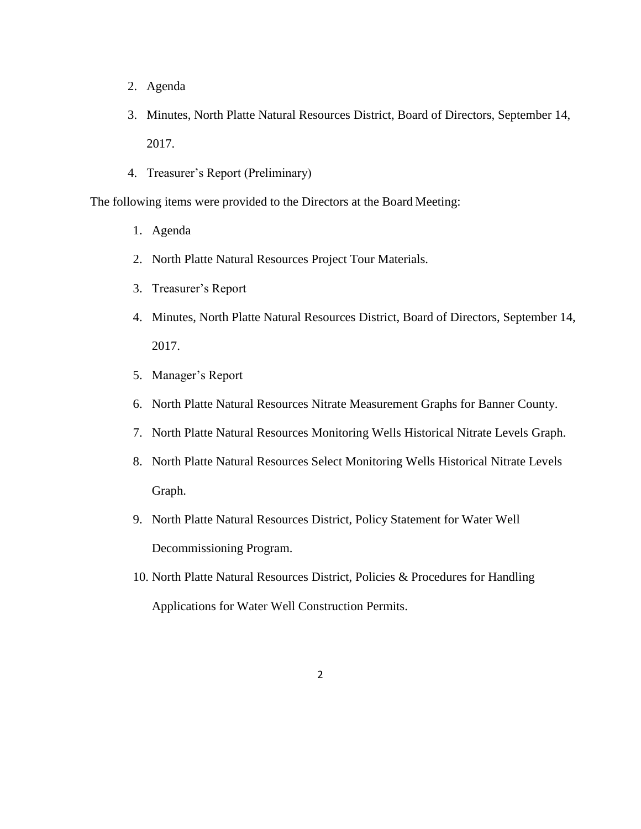- 2. Agenda
- 3. Minutes, North Platte Natural Resources District, Board of Directors, September 14, 2017.
- 4. Treasurer's Report (Preliminary)

The following items were provided to the Directors at the Board Meeting:

- 1. Agenda
- 2. North Platte Natural Resources Project Tour Materials.
- 3. Treasurer's Report
- 4. Minutes, North Platte Natural Resources District, Board of Directors, September 14, 2017.
- 5. Manager's Report
- 6. North Platte Natural Resources Nitrate Measurement Graphs for Banner County.
- 7. North Platte Natural Resources Monitoring Wells Historical Nitrate Levels Graph.
- 8. North Platte Natural Resources Select Monitoring Wells Historical Nitrate Levels Graph.
- 9. North Platte Natural Resources District, Policy Statement for Water Well Decommissioning Program.
- 10. North Platte Natural Resources District, Policies & Procedures for Handling Applications for Water Well Construction Permits.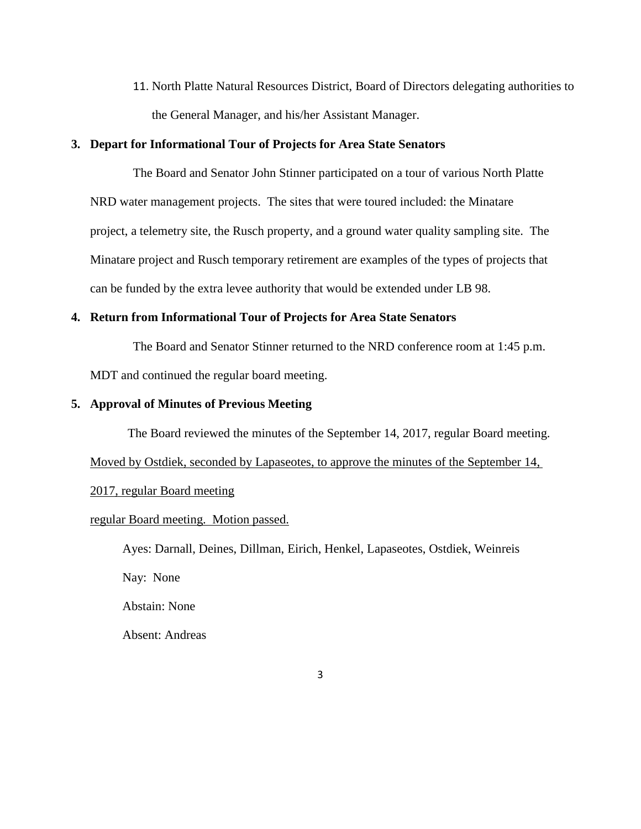11. North Platte Natural Resources District, Board of Directors delegating authorities to the General Manager, and his/her Assistant Manager.

## **3. Depart for Informational Tour of Projects for Area State Senators**

The Board and Senator John Stinner participated on a tour of various North Platte NRD water management projects. The sites that were toured included: the Minatare project, a telemetry site, the Rusch property, and a ground water quality sampling site. The Minatare project and Rusch temporary retirement are examples of the types of projects that can be funded by the extra levee authority that would be extended under LB 98.

# **4. Return from Informational Tour of Projects for Area State Senators**

The Board and Senator Stinner returned to the NRD conference room at 1:45 p.m.

MDT and continued the regular board meeting.

#### **5. Approval of Minutes of Previous Meeting**

The Board reviewed the minutes of the September 14, 2017, regular Board meeting.

Moved by Ostdiek, seconded by Lapaseotes, to approve the minutes of the September 14,

## 2017, regular Board meeting

## regular Board meeting. Motion passed.

Ayes: Darnall, Deines, Dillman, Eirich, Henkel, Lapaseotes, Ostdiek, Weinreis Nay: None Abstain: None Absent: Andreas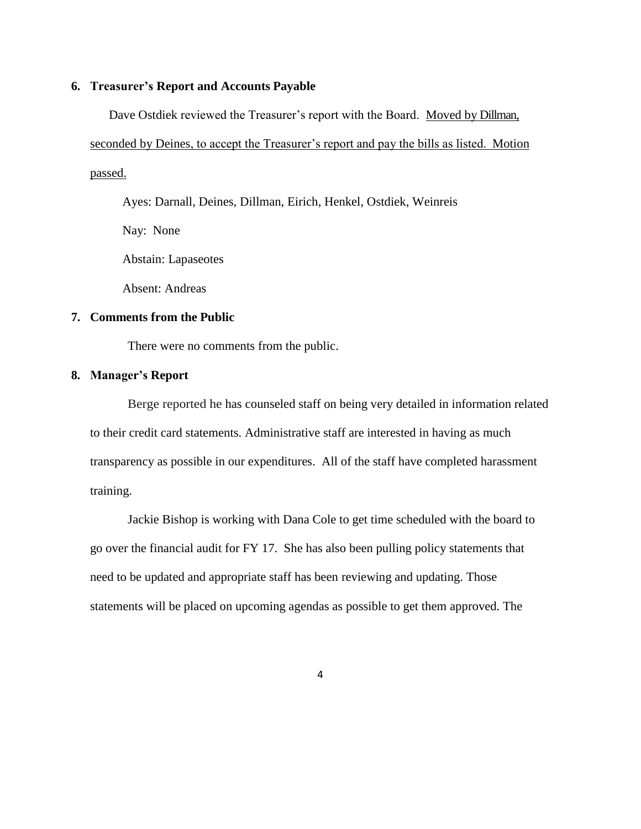#### **6. Treasurer's Report and Accounts Payable**

Dave Ostdiek reviewed the Treasurer's report with the Board. Moved by Dillman, seconded by Deines, to accept the Treasurer's report and pay the bills as listed. Motion passed.

Ayes: Darnall, Deines, Dillman, Eirich, Henkel, Ostdiek, Weinreis

Nay: None

Abstain: Lapaseotes

Absent: Andreas

## **7. Comments from the Public**

There were no comments from the public.

# **8. Manager's Report**

Berge reported he has counseled staff on being very detailed in information related to their credit card statements. Administrative staff are interested in having as much transparency as possible in our expenditures. All of the staff have completed harassment training.

Jackie Bishop is working with Dana Cole to get time scheduled with the board to go over the financial audit for FY 17. She has also been pulling policy statements that need to be updated and appropriate staff has been reviewing and updating. Those statements will be placed on upcoming agendas as possible to get them approved. The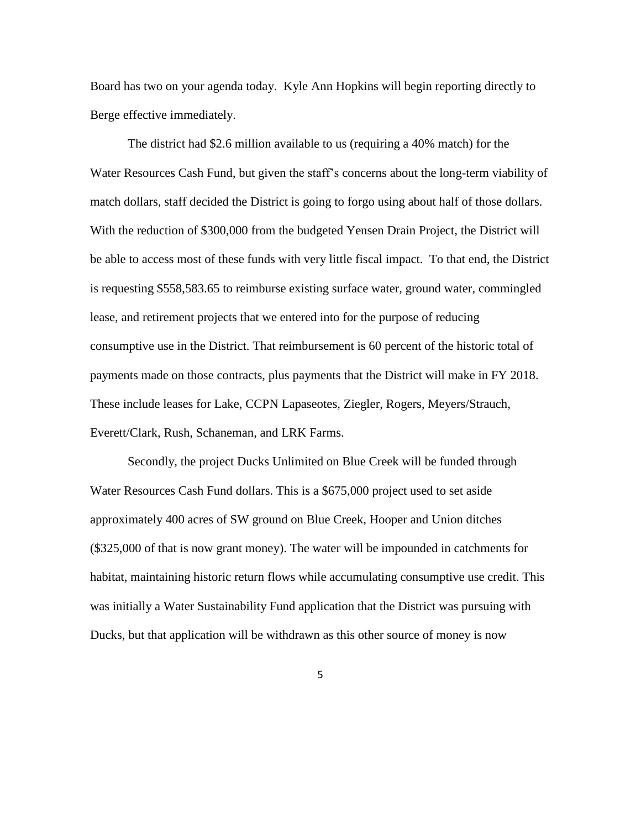Board has two on your agenda today. Kyle Ann Hopkins will begin reporting directly to Berge effective immediately.

The district had \$2.6 million available to us (requiring a 40% match) for the Water Resources Cash Fund, but given the staff's concerns about the long-term viability of match dollars, staff decided the District is going to forgo using about half of those dollars. With the reduction of \$300,000 from the budgeted Yensen Drain Project, the District will be able to access most of these funds with very little fiscal impact. To that end, the District is requesting \$558,583.65 to reimburse existing surface water, ground water, commingled lease, and retirement projects that we entered into for the purpose of reducing consumptive use in the District. That reimbursement is 60 percent of the historic total of payments made on those contracts, plus payments that the District will make in FY 2018. These include leases for Lake, CCPN Lapaseotes, Ziegler, Rogers, Meyers/Strauch, Everett/Clark, Rush, Schaneman, and LRK Farms.

Secondly, the project Ducks Unlimited on Blue Creek will be funded through Water Resources Cash Fund dollars. This is a \$675,000 project used to set aside approximately 400 acres of SW ground on Blue Creek, Hooper and Union ditches (\$325,000 of that is now grant money). The water will be impounded in catchments for habitat, maintaining historic return flows while accumulating consumptive use credit. This was initially a Water Sustainability Fund application that the District was pursuing with Ducks, but that application will be withdrawn as this other source of money is now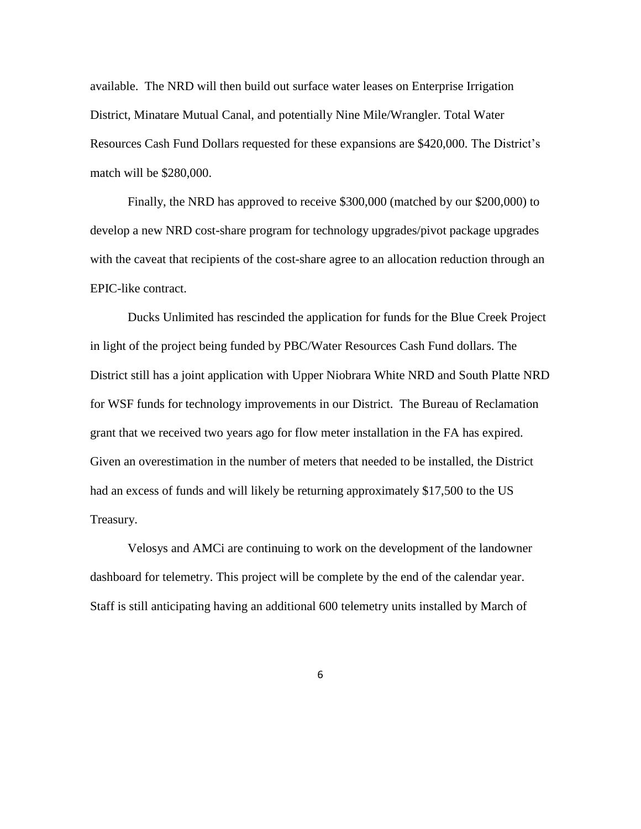available. The NRD will then build out surface water leases on Enterprise Irrigation District, Minatare Mutual Canal, and potentially Nine Mile/Wrangler. Total Water Resources Cash Fund Dollars requested for these expansions are \$420,000. The District's match will be \$280,000.

Finally, the NRD has approved to receive \$300,000 (matched by our \$200,000) to develop a new NRD cost-share program for technology upgrades/pivot package upgrades with the caveat that recipients of the cost-share agree to an allocation reduction through an EPIC-like contract.

Ducks Unlimited has rescinded the application for funds for the Blue Creek Project in light of the project being funded by PBC/Water Resources Cash Fund dollars. The District still has a joint application with Upper Niobrara White NRD and South Platte NRD for WSF funds for technology improvements in our District. The Bureau of Reclamation grant that we received two years ago for flow meter installation in the FA has expired. Given an overestimation in the number of meters that needed to be installed, the District had an excess of funds and will likely be returning approximately \$17,500 to the US Treasury.

Velosys and AMCi are continuing to work on the development of the landowner dashboard for telemetry. This project will be complete by the end of the calendar year. Staff is still anticipating having an additional 600 telemetry units installed by March of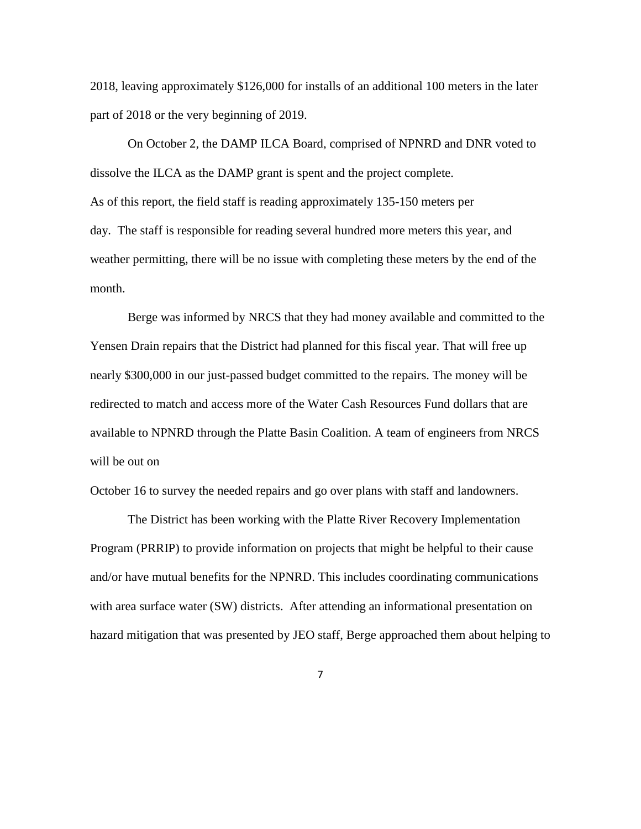2018, leaving approximately \$126,000 for installs of an additional 100 meters in the later part of 2018 or the very beginning of 2019.

On October 2, the DAMP ILCA Board, comprised of NPNRD and DNR voted to dissolve the ILCA as the DAMP grant is spent and the project complete. As of this report, the field staff is reading approximately 135-150 meters per day. The staff is responsible for reading several hundred more meters this year, and weather permitting, there will be no issue with completing these meters by the end of the month.

Berge was informed by NRCS that they had money available and committed to the Yensen Drain repairs that the District had planned for this fiscal year. That will free up nearly \$300,000 in our just-passed budget committed to the repairs. The money will be redirected to match and access more of the Water Cash Resources Fund dollars that are available to NPNRD through the Platte Basin Coalition. A team of engineers from NRCS will be out on

October 16 to survey the needed repairs and go over plans with staff and landowners.

The District has been working with the Platte River Recovery Implementation Program (PRRIP) to provide information on projects that might be helpful to their cause and/or have mutual benefits for the NPNRD. This includes coordinating communications with area surface water (SW) districts. After attending an informational presentation on hazard mitigation that was presented by JEO staff, Berge approached them about helping to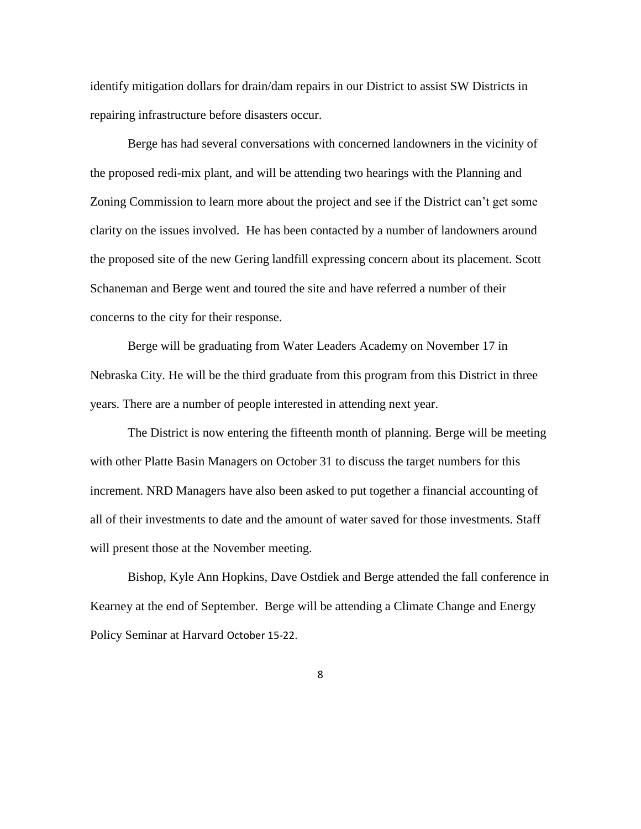identify mitigation dollars for drain/dam repairs in our District to assist SW Districts in repairing infrastructure before disasters occur.

Berge has had several conversations with concerned landowners in the vicinity of the proposed redi-mix plant, and will be attending two hearings with the Planning and Zoning Commission to learn more about the project and see if the District can't get some clarity on the issues involved. He has been contacted by a number of landowners around the proposed site of the new Gering landfill expressing concern about its placement. Scott Schaneman and Berge went and toured the site and have referred a number of their concerns to the city for their response.

Berge will be graduating from Water Leaders Academy on November 17 in Nebraska City. He will be the third graduate from this program from this District in three years. There are a number of people interested in attending next year.

The District is now entering the fifteenth month of planning. Berge will be meeting with other Platte Basin Managers on October 31 to discuss the target numbers for this increment. NRD Managers have also been asked to put together a financial accounting of all of their investments to date and the amount of water saved for those investments. Staff will present those at the November meeting.

Bishop, Kyle Ann Hopkins, Dave Ostdiek and Berge attended the fall conference in Kearney at the end of September. Berge will be attending a Climate Change and Energy Policy Seminar at Harvard October 15-22.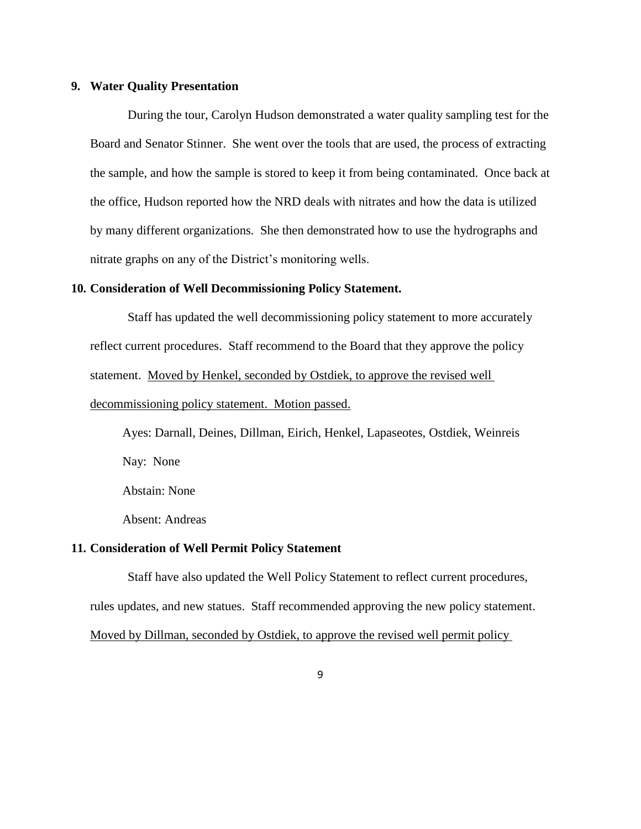## **9. Water Quality Presentation**

During the tour, Carolyn Hudson demonstrated a water quality sampling test for the Board and Senator Stinner. She went over the tools that are used, the process of extracting the sample, and how the sample is stored to keep it from being contaminated. Once back at the office, Hudson reported how the NRD deals with nitrates and how the data is utilized by many different organizations. She then demonstrated how to use the hydrographs and nitrate graphs on any of the District's monitoring wells.

## **10. Consideration of Well Decommissioning Policy Statement.**

Staff has updated the well decommissioning policy statement to more accurately reflect current procedures. Staff recommend to the Board that they approve the policy statement. Moved by Henkel, seconded by Ostdiek, to approve the revised well decommissioning policy statement. Motion passed.

Ayes: Darnall, Deines, Dillman, Eirich, Henkel, Lapaseotes, Ostdiek, Weinreis Nay: None

Abstain: None

Absent: Andreas

# **11. Consideration of Well Permit Policy Statement**

Staff have also updated the Well Policy Statement to reflect current procedures, rules updates, and new statues. Staff recommended approving the new policy statement. Moved by Dillman, seconded by Ostdiek, to approve the revised well permit policy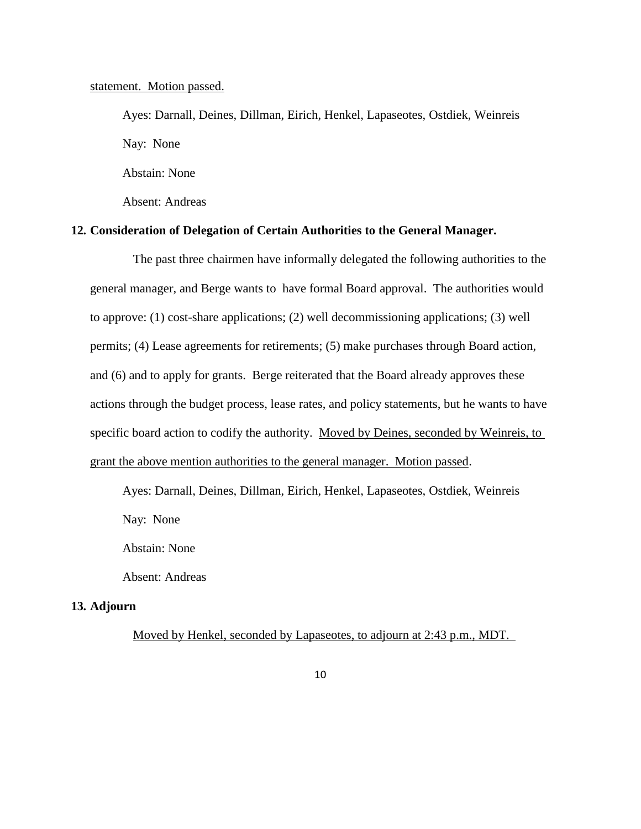#### statement. Motion passed.

Ayes: Darnall, Deines, Dillman, Eirich, Henkel, Lapaseotes, Ostdiek, Weinreis Nay: None Abstain: None

Absent: Andreas

# **12. Consideration of Delegation of Certain Authorities to the General Manager.**

The past three chairmen have informally delegated the following authorities to the general manager, and Berge wants to have formal Board approval. The authorities would to approve: (1) cost-share applications; (2) well decommissioning applications; (3) well permits; (4) Lease agreements for retirements; (5) make purchases through Board action, and (6) and to apply for grants. Berge reiterated that the Board already approves these actions through the budget process, lease rates, and policy statements, but he wants to have specific board action to codify the authority. Moved by Deines, seconded by Weinreis, to grant the above mention authorities to the general manager. Motion passed.

Ayes: Darnall, Deines, Dillman, Eirich, Henkel, Lapaseotes, Ostdiek, Weinreis Nay: None

Abstain: None

Absent: Andreas

## **13. Adjourn**

Moved by Henkel, seconded by Lapaseotes, to adjourn at 2:43 p.m., MDT.